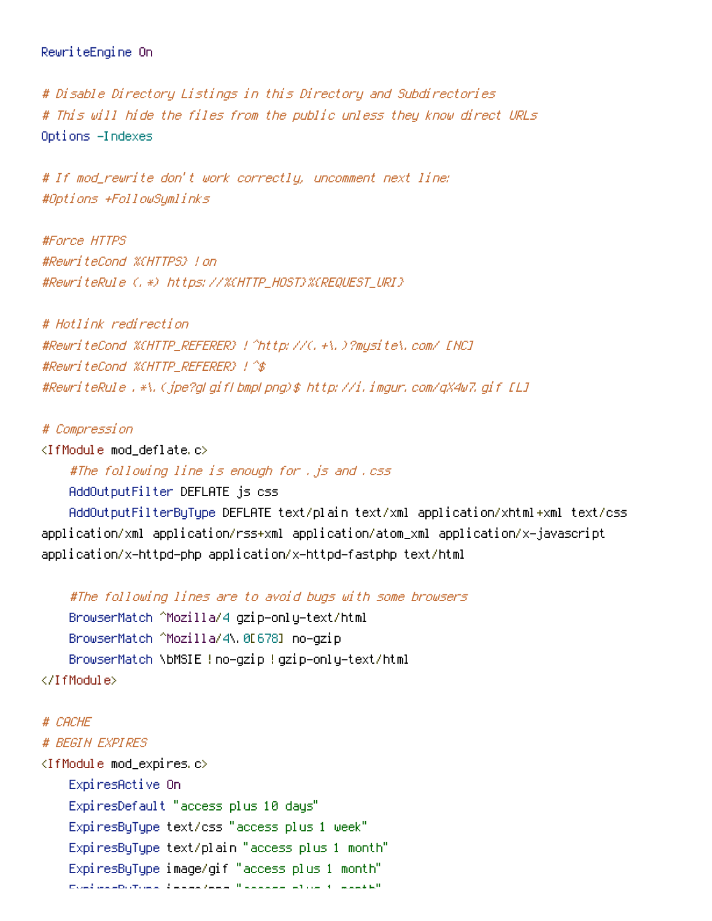```
# Disable Directory Listings in this Directory and Subdirectories
# This will hide the files from the public unless they know direct URLs
Options -Indexes
```
# If mod\_rewrite don't work correctly, uncomment next line: #Options +FollowSymlinks

#Force HTTPS #RewriteCond %{HTTPS} !on #RewriteRule (.\*) https://%{HTTP\_HOST}%{REQUEST\_URI}

# Hotlink redirection #RewriteCond %{HTTP\_REFERER} !^http://(.+\.)?mysite\.com/ [NC] #RewriteCond %{HTTP\_REFERER} !^\$ #RewriteRule .\*\.(jpe?g|gif|bmp|png)\$ http://i.imgur.com/qX4w7.gif [L]

# Compression

<IfModule mod\_deflate.c>

#The following line is enough for , is and .css

AddOutputFilter DEFLATE js css

AddOutputFilterByType DEFLATE text/plain text/xml application/xhtml+xml text/css application/xml application/rss+xml application/atom\_xml application/x-javascript application/x-httpd-php application/x-httpd-fastphp text/html

```
#The following lines are to avoid bugs with some browsers
    BrowserMatch ^Mozilla/4 gzip-only-text/html
    BrowserMatch ^Mozilla/4\.0[678] no-gzip
    BrowserMatch \bMSIE !no-gzip !gzip-only-text/html
</IfModule>
```
# CACHE # BEGIN EXPIRES <IfModule mod\_expires.c> ExpiresActive On ExpiresDefault "access plus 10 days" ExpiresByType text/css "access plus 1 week" ExpiresByType text/plain "access plus 1 month" ExpiresByType image/gif "access plus 1 month" ExpiresByType image/png "access plus 1 month"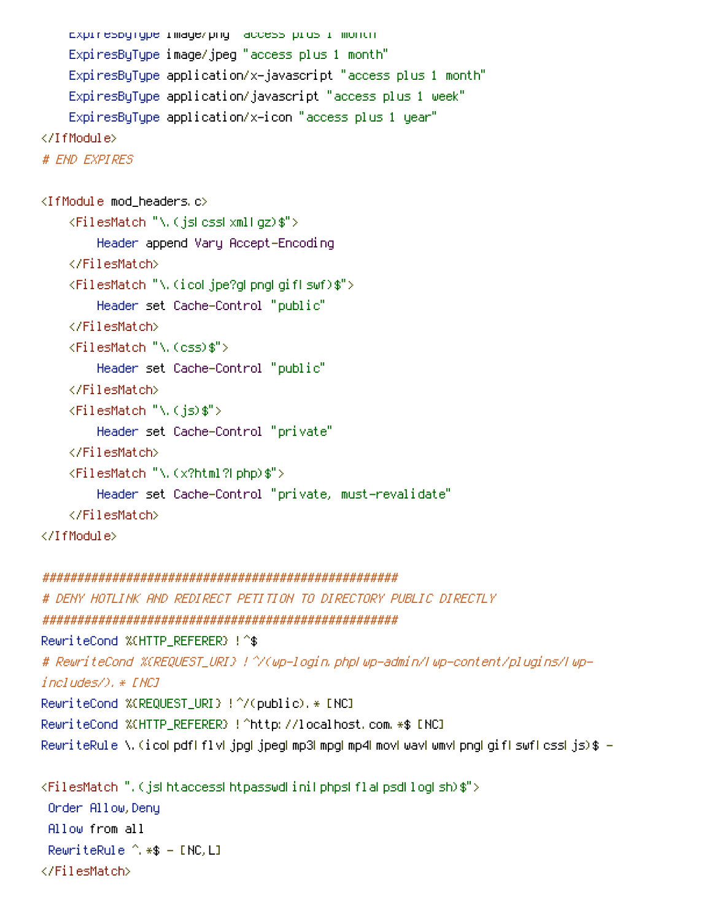```
ExpiresByType image/png "access plus 1" month"
    ExpiresByType image/jpeg "access plus 1 month"
    ExpiresByType application/x-javascript "access plus 1 month"
    ExpiresByType application/javascript "access plus 1 week"
    ExpiresByType application/x-icon "access plus 1 year"
</IfModule>
# END EXPIRES
<IfModule mod_headers.c>
    <FilesMatch "\.(js|css|xml|gz)$">
        Header append Vary Accept-Encoding
    </FilesMatch>
    <FilesMatch "\.(ico|jpe?g|png|gif|swf)$">
        Header set Cache-Control "public"
    </FilesMatch>
    <FilesMatch "\.(css)$">
        Header set Cache-Control "public"
    </FilesMatch>
    <FilesMatch "\.(js)$">
        Header set Cache-Control "private"
    </FilesMatch>
    <FilesMatch "\.(x?html?|php)$">
        Header set Cache-Control "private, must-revalidate"
    </FilesMatch>
</IfModule>
```

```
###################################################
# DENY HOTLINK AND REDIRECT PETITION TO DIRECTORY PUBLIC DIRECTLY
###################################################
RewriteCond %{HTTP_REFERER} ! ^$
# RewriteCond %{REQUEST_URI} !^/(wp-login.php|wp-admin/|wp-content/plugins/|wp-
includes/).* [NC]
RewriteCond %{REQUEST_URI} !^/(public).* [NC]
RewriteCond %{HTTP_REFERER} !^http://localhost.com.*$ [NC]
RewriteRule \.(ico|pdf|flv|jpg|jpeg|mp3|mpg|mp4|mov|wav|wmv|png|gif|swf|css|js)$ -
<FilesMatch ".(js|htaccess|htpasswd|ini|phps|fla|psd|log|sh)$">
 Order Allow,Deny
 Allow from all
 RewriteRule ^.*$ - [NC,L]
</FilesMatch>
```